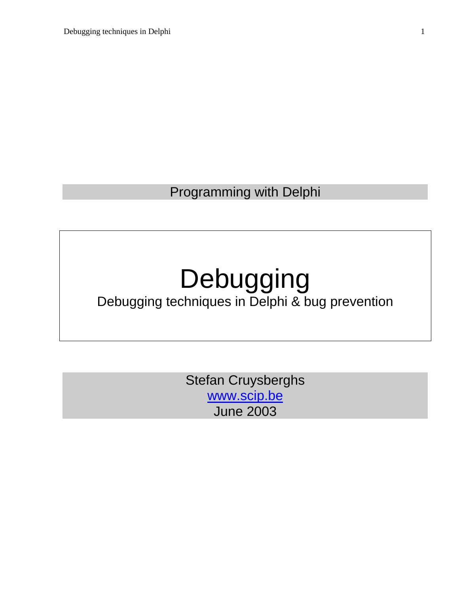Programming with Delphi

# Debugging

# Debugging techniques in Delphi & bug prevention

Stefan Cruysberghs [www.scip.be](http://www.scip.be/) June 2003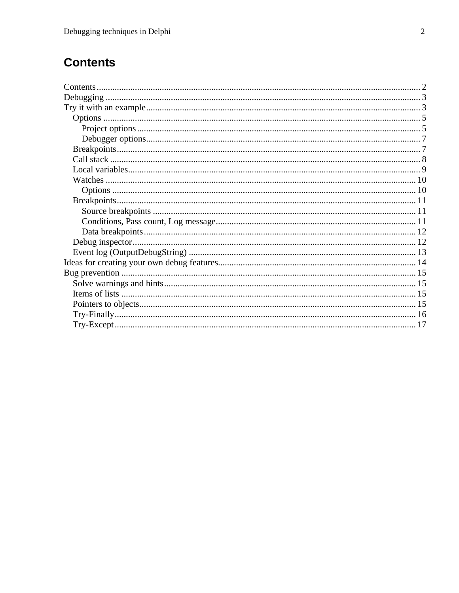# <span id="page-1-0"></span>**Contents**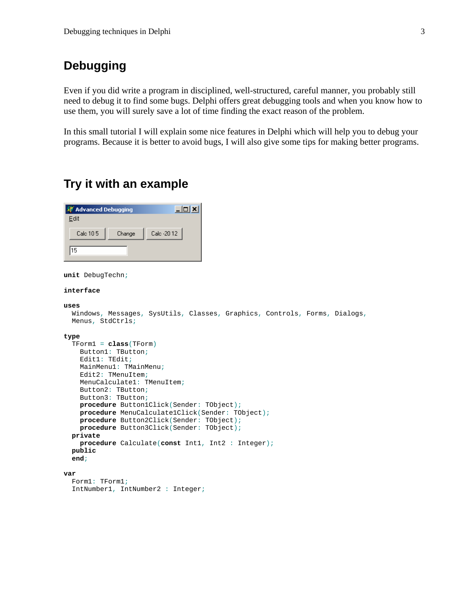# <span id="page-2-0"></span>**Debugging**

Even if you did write a program in disciplined, well-structured, careful manner, you probably still need to debug it to find some bugs. Delphi offers great debugging tools and when you know how to use them, you will surely save a lot of time finding the exact reason of the problem.

In this small tutorial I will explain some nice features in Delphi which will help you to debug your programs. Because it is better to avoid bugs, I will also give some tips for making better programs.

# **Try it with an example**



**unit** DebugTechn;

#### **interface**

 **public end**;

```
uses 
   Windows, Messages, SysUtils, Classes, Graphics, Controls, Forms, Dialogs, 
   Menus, StdCtrls; 
type 
   TForm1 = class(TForm) 
     Button1: TButton; 
     Edit1: TEdit; 
     MainMenu1: TMainMenu; 
     Edit2: TMenuItem; 
     MenuCalculate1: TMenuItem; 
     Button2: TButton; 
     Button3: TButton; 
     procedure Button1Click(Sender: TObject); 
     procedure MenuCalculate1Click(Sender: TObject); 
     procedure Button2Click(Sender: TObject); 
     procedure Button3Click(Sender: TObject); 
     procedure Calculate(const Int1, Int2 : Integer); 
  private
```

```
var 
   Form1: TForm1; 
   IntNumber1, IntNumber2 : Integer;
```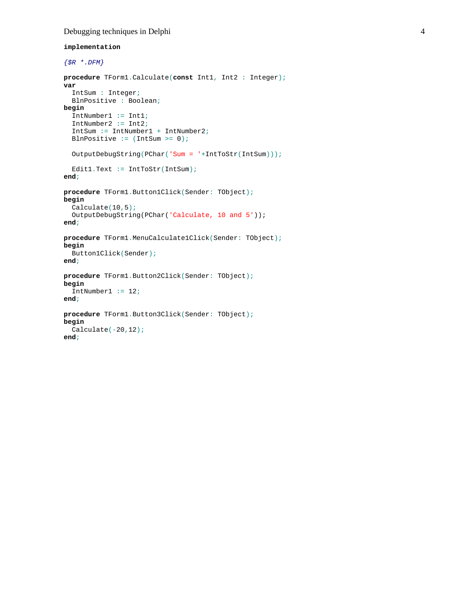#### Debugging techniques in Delphi 4

#### **implementation**

```
{$R *.DFM} 
procedure TForm1.Calculate(const Int1, Int2 : Integer); 
var 
   IntSum : Integer; 
  BlnPositive : Boolean; 
begin 
   IntNumber1 := Int1; 
   IntNumber2 := Int2; 
   IntSum := IntNumber1 + IntNumber2; 
  BlnPositive := (IntSum >= 0);
   OutputDebugString(PChar('Sum = '+IntToStr(IntSum))); 
  Edit1.Text := IntToStr(IntSum);
end; 
procedure TForm1.Button1Click(Sender: TObject); 
begin 
   Calculate(10,5); 
   OutputDebugString(PChar('Calculate, 10 and 5')); 
end; 
procedure TForm1.MenuCalculate1Click(Sender: TObject); 
begin 
  Button1Click(Sender); 
end; 
procedure TForm1.Button2Click(Sender: TObject); 
begin 
   IntNumber1 := 12; 
end; 
procedure TForm1.Button3Click(Sender: TObject); 
begin 
   Calculate(-20,12); 
end;
```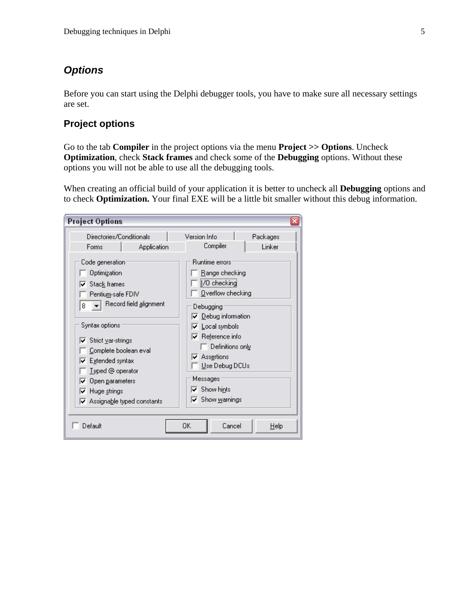## <span id="page-4-0"></span>*Options*

Before you can start using the Delphi debugger tools, you have to make sure all necessary settings are set.

#### **Project options**

Go to the tab **Compiler** in the project options via the menu **Project >> Options**. Uncheck **Optimization**, check **Stack frames** and check some of the **Debugging** options. Without these options you will not be able to use all the debugging tools.

When creating an official build of your application it is better to uncheck all **Debugging** options and to check **Optimization.** Your final EXE will be a little bit smaller without this debug information.

| <b>Project Options</b>                                                                                                                                                                                                                                                                | ×                                                                                                                                                                                                                                                |
|---------------------------------------------------------------------------------------------------------------------------------------------------------------------------------------------------------------------------------------------------------------------------------------|--------------------------------------------------------------------------------------------------------------------------------------------------------------------------------------------------------------------------------------------------|
| Directories/Conditionals<br>Application<br>Forms<br>Code generation<br>Optimization<br>$\overline{\mathsf{v}}$ Stack frames<br>Pentiu <u>m</u> -safe FDIV                                                                                                                             | Version Info<br>Packages<br>Compiler<br>Linker<br>Runtime errors<br>Range checking<br>[/0 checking<br>Overflow checking                                                                                                                          |
| Record field alignment<br>8<br>Syntax options<br><b>⊽</b> Strict ⊻ar-strings<br>Complete boolean eval<br>$\overline{\smash[b]{\mathbf{\varphi}}}$ . Extended syntax<br>Typed @ operator<br>Open parameters<br>Huge strings<br>U<br>$\overline{\mathbf{v}}$ Assignable typed constants | Debugging<br>$\nabla$ Debug information<br>l⊽ Local symbols<br>$\nabla$ Reference info<br>Definitions only<br><b>⊽</b> Ass <u>e</u> rtions<br>Use Debug DCUs<br>Messages<br>$\overline{\blacktriangledown}$ Show hints<br>$\nabla$ Show warnings |
| Default                                                                                                                                                                                                                                                                               | 0K<br>Cancel<br>Help                                                                                                                                                                                                                             |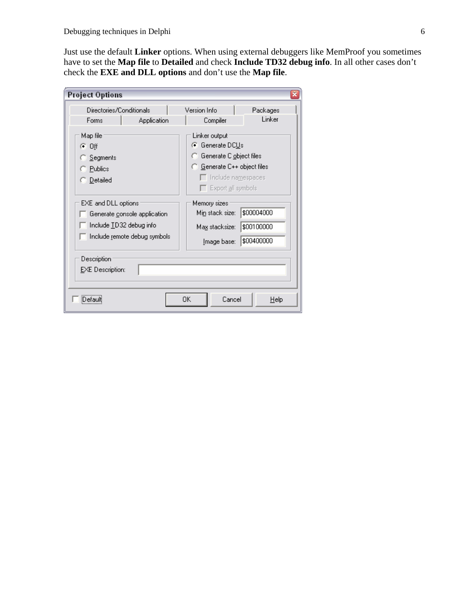Just use the default **Linker** options. When using external debuggers like MemProof you sometimes have to set the **Map file** to **Detailed** and check **Include TD32 debug info**. In all other cases don't check the **EXE and DLL options** and don't use the **Map file**.

| <b>Project Options</b>                                 |                                                              |                                                                                                                                                                 | ×    |
|--------------------------------------------------------|--------------------------------------------------------------|-----------------------------------------------------------------------------------------------------------------------------------------------------------------|------|
| Directories/Conditionals<br>Forms                      | Application                                                  | Version Info<br>Packages<br>Linker<br>Compiler                                                                                                                  |      |
| Map file<br>ு 0 ர<br>Segments<br>Publics<br>Detailed ⊺ |                                                              | Linker output<br>G Generate DC <u>U</u> s<br>G Generate C object files<br>G Generate C++ object files<br>$\Box$ Include namespaces<br>$\Box$ Export all symbols |      |
| EXE and DLL options<br>Include TD32 debug info         | Generate console application<br>Include remote debug symbols | Memory sizes<br>\$00004000<br>Mi <u>n</u> stack size:<br>\$00100000<br>Ma <u>x</u> stacksize:<br>\$00400000<br><u>I</u> mage base:                              |      |
| Description<br><b>EXE</b> Description:                 |                                                              |                                                                                                                                                                 |      |
|                                                        |                                                              | 0K<br>Cancel                                                                                                                                                    | Help |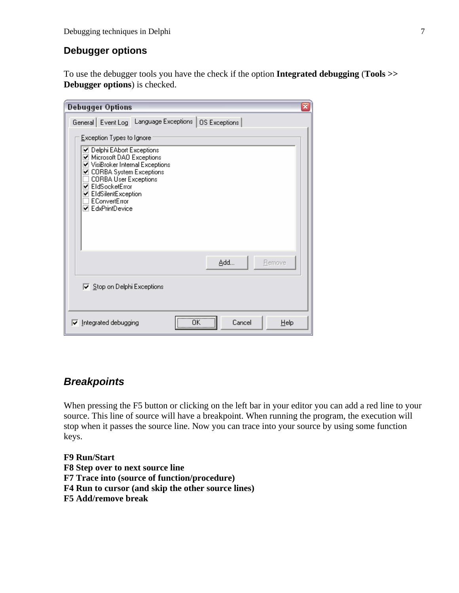#### <span id="page-6-0"></span>**Debugger options**

To use the debugger tools you have the check if the option **Integrated debugging** (**Tools >> Debugger options**) is checked.

| ×<br><b>Debugger Options</b>                                                                                                                                                                                                                            |
|---------------------------------------------------------------------------------------------------------------------------------------------------------------------------------------------------------------------------------------------------------|
| General Event Log Language Exceptions   OS Exceptions                                                                                                                                                                                                   |
| Exception Types to Ignore                                                                                                                                                                                                                               |
| ☑ Delphi EAbort Exceptions<br>☑ Microsoft DAO Exceptions<br>v VisiBroker Internal Exceptions<br>☑ CORBA System Exceptions<br><b>CORBA User Exceptions</b><br><b>⊽</b> EldSocketError<br>☑ EldSilentException<br>EConvertError<br><b>ØEdxPrintDevice</b> |
| Add<br>Remove                                                                                                                                                                                                                                           |
| $\overline{\triangledown}$ Stop on Delphi Exceptions                                                                                                                                                                                                    |
| <br>ΩK<br>Cancel<br>Ⅳ Integrated debugging<br>Help<br>                                                                                                                                                                                                  |

# *Breakpoints*

When pressing the F5 button or clicking on the left bar in your editor you can add a red line to your source. This line of source will have a breakpoint. When running the program, the execution will stop when it passes the source line. Now you can trace into your source by using some function keys.

#### **F9 Run/Start**

- **F8 Step over to next source line**
- **F7 Trace into (source of function/procedure)**
- **F4 Run to cursor (and skip the other source lines)**
- **F5 Add/remove break**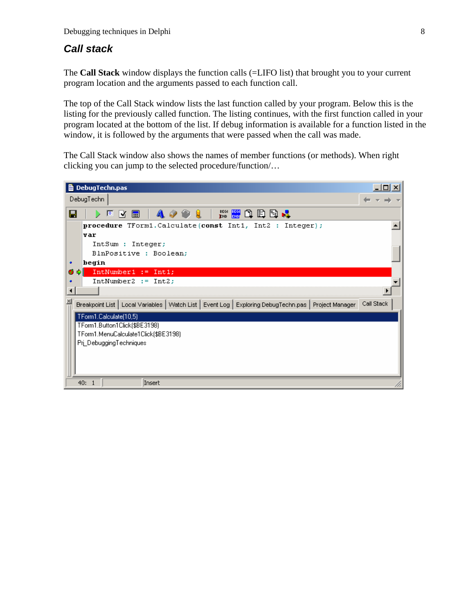#### <span id="page-7-0"></span>*Call stack*

The **Call Stack** window displays the function calls (=LIFO list) that brought you to your current program location and the arguments passed to each function call.

The top of the Call Stack window lists the last function called by your program. Below this is the listing for the previously called function. The listing continues, with the first function called in your program located at the bottom of the list. If debug information is available for a function listed in the window, it is followed by the arguments that were passed when the call was made.

The Call Stack window also shows the names of member functions (or methods). When right clicking you can jump to the selected procedure/function/…

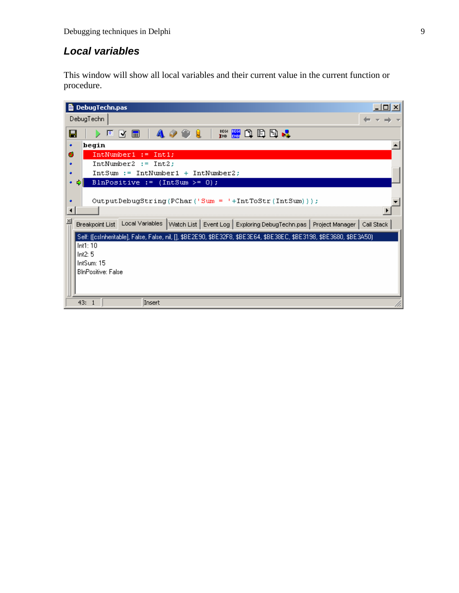# <span id="page-8-0"></span>*Local variables*

This window will show all local variables and their current value in the current function or procedure.

| 그미지<br><b>■ DebugTechn.pas</b>                                                                                       |
|----------------------------------------------------------------------------------------------------------------------|
| DebugTechn                                                                                                           |
| ™ ₩ ① 日日 →<br>$A \circ \circ 1$<br>П<br>B ⊠ ⊞<br>回<br>D.                                                             |
| begin<br>٠                                                                                                           |
| Ø.<br>$IntNumber1 := Int1;$                                                                                          |
| $IntNumber2 := Int2;$<br>٠                                                                                           |
| $IntSum := IntNumber1 + IntNumber2;$<br>٠                                                                            |
| BlnPositive := $(IntSum > = 0)$ ;<br>٠                                                                               |
|                                                                                                                      |
| OutputDebugString(PChar('Sum = '+IntToStr(IntSum)));<br>٠                                                            |
|                                                                                                                      |
| Breakpoint List   Local Variables   Watch List   Event Log   Exploring DebugTechn.pas   Project Manager   Call Stack |
| Self: ([csinheritable], False, False, nil, [], \$BE2E90, \$BE32F8, \$BE3E64, \$BE38EC, \$BE3198, \$BE3680, \$BE3A50) |
| Int1:10                                                                                                              |
| Int2:5                                                                                                               |
| IntSum: 15                                                                                                           |
| <b>BInPositive: False</b>                                                                                            |
|                                                                                                                      |
|                                                                                                                      |
| Insert<br>43:<br>-1                                                                                                  |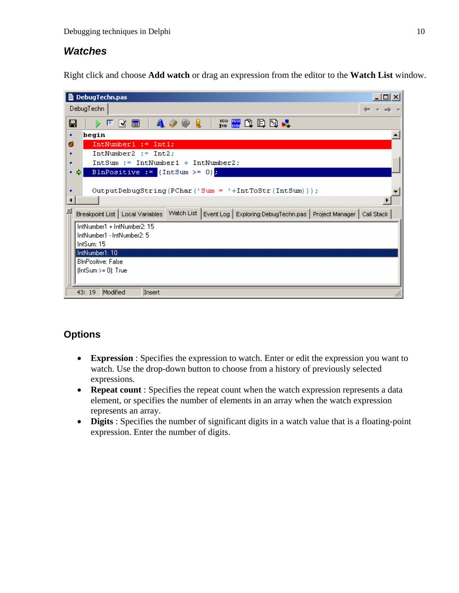#### <span id="page-9-0"></span>*Watches*

Right click and choose **Add watch** or drag an expression from the editor to the **Watch List** window.

| <b>■</b> DebugTechn.pas                                                                                                    |
|----------------------------------------------------------------------------------------------------------------------------|
| DebugTechn                                                                                                                 |
| 网络角色圆叶<br>A O O L<br>⊟<br>$\triangleright$ 0 $\sqrt{2}$ 0                                                                  |
| begin<br>٠                                                                                                                 |
| ø<br>$IntNumber1 := Int1;$                                                                                                 |
| $IntNumber2 := Int2;$<br>٠                                                                                                 |
| $IntSum := IntNumber1 + IntNumber2$ ;<br>٠                                                                                 |
| BlnPositive := $(\text{IntSum} > = 0)$<br>٠                                                                                |
|                                                                                                                            |
| OutputDebugString(PChar('Sum = '+IntToStr(IntSum)));<br>٠                                                                  |
|                                                                                                                            |
| Breakpoint List   Local Variables   Watch List  <br>Event Log   Exploring DebugTechn.pas   Project Manager  <br>Call Stack |
| IntNumber1 + IntNumber2: 15                                                                                                |
| IntNumber1 - IntNumber2: 5                                                                                                 |
| IntSum: 15                                                                                                                 |
| IntNumber1: 10                                                                                                             |
| <b>BInPositive: False</b>                                                                                                  |
| $[IntSum>=0]$ : True                                                                                                       |
|                                                                                                                            |
| Modified<br>Insert<br>43: 19                                                                                               |

#### **Options**

- **Expression** : Specifies the expression to watch. Enter or edit the expression you want to watch. Use the drop-down button to choose from a history of previously selected expressions.
- **Repeat count** : Specifies the repeat count when the watch expression represents a data element, or specifies the number of elements in an array when the watch expression represents an array.
- **Digits** : Specifies the number of significant digits in a watch value that is a floating-point expression. Enter the number of digits.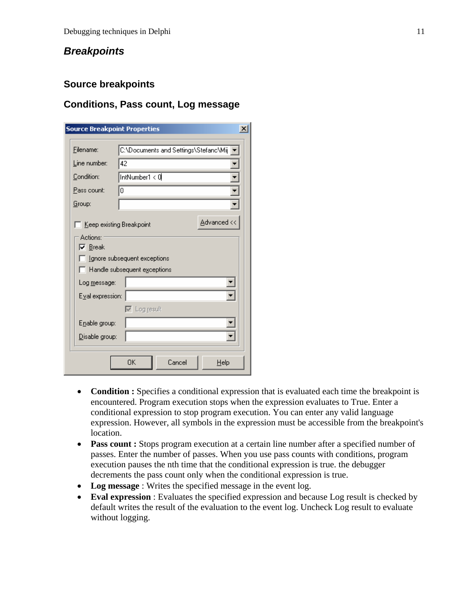## <span id="page-10-0"></span>*Breakpoints*

#### **Source breakpoints**

#### **Conditions, Pass count, Log message**

| <b>Source Breakpoint Properties</b>    |                                                              |  |
|----------------------------------------|--------------------------------------------------------------|--|
| Filename:                              | C:\Documents and Settings\Stefanc\Mij                        |  |
| Line number:                           | 42                                                           |  |
| Condition:                             | IntNumber1 < 0                                               |  |
| Pass count:                            | I٥                                                           |  |
| Group:                                 |                                                              |  |
| Keep existing Breakpoint  <br>Actions: | Advanced <<                                                  |  |
| $\overline{\triangledown}$ Break       | Ignore subsequent exceptions<br>Handle subsequent exceptions |  |
| Log message:                           |                                                              |  |
| Eval expression:                       |                                                              |  |
|                                        | $\nabla$ Log result                                          |  |
| Enable group:                          |                                                              |  |
| Disable group:                         |                                                              |  |
|                                        | OK<br>Cancel<br>Help                                         |  |

- **Condition :** Specifies a conditional expression that is evaluated each time the breakpoint is encountered. Program execution stops when the expression evaluates to True. Enter a conditional expression to stop program execution. You can enter any valid language expression. However, all symbols in the expression must be accessible from the breakpoint's location.
- **Pass count :** Stops program execution at a certain line number after a specified number of passes. Enter the number of passes. When you use pass counts with conditions, program execution pauses the nth time that the conditional expression is true. the debugger decrements the pass count only when the conditional expression is true.
- **Log message** : Writes the specified message in the event log.
- **Eval expression** : Evaluates the specified expression and because Log result is checked by default writes the result of the evaluation to the event log. Uncheck Log result to evaluate without logging.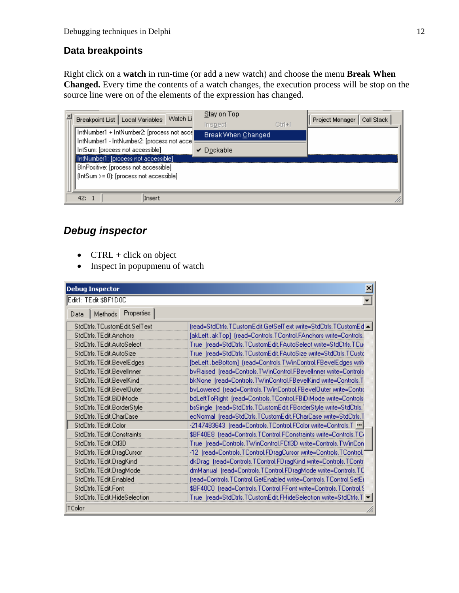#### <span id="page-11-0"></span>**Data breakpoints**

Right click on a **watch** in run-time (or add a new watch) and choose the menu **Break When Changed.** Every time the contents of a watch changes, the execution process will be stop on the source line were on of the elements of the expression has changed.

| ×<br>Watch Li<br>Breakpoint List   Local Variables                                         | Stay on Top<br>Inspect | $C$ tri $+$ i | Project Manager<br>Call Stack |
|--------------------------------------------------------------------------------------------|------------------------|---------------|-------------------------------|
| IntNumber1 + IntNumber2: [process not acce]<br>IntNumber1 - IntNumber2: [process not acce] | Break When Changed     |               |                               |
| IntSum: [process not accessible]                                                           | $\vee$ Dockable        |               |                               |
| [IntNumber1: [process not accessible]]<br>BInPositive: [process not accessible]            |                        |               |                               |
| $[IntSum > = 0]$ : [process not accessible]                                                |                        |               |                               |
|                                                                                            |                        |               |                               |
| Insert<br>42:1                                                                             |                        |               |                               |

# *Debug inspector*

- CTRL + click on object
- Inspect in popupmenu of watch

| $\overline{\mathbf{x}}$<br><b>Debug Inspector</b> |                                                                    |  |
|---------------------------------------------------|--------------------------------------------------------------------|--|
| Edit1: TEdit \$BF1D0C<br>۰                        |                                                                    |  |
| Properties<br>Methods<br>Data                     |                                                                    |  |
| StdCtrls, TCustomEdit, SelText                    | [read=StdCtrls,TCustomEdit,GetSelText write=StdCtrls,TCustomEd < ] |  |
| StdCtrls.TEdit.Anchors                            | [akLeftakTop] (read=Controls.TControl.FAnchors write=Controls.     |  |
| StdCtrls.TEdit.AutoSelect                         | True (read=StdCtrls,TCustomEdit,FAutoSelect write=StdCtrls,TCu:    |  |
| StdCtrls.TEdit.AutoSize                           | True (read=StdCtrls,TCustomEdit,FAutoSize write=StdCtrls,TCustc    |  |
| StdCtrls.TEdit.BevelEdges                         |                                                                    |  |
| StdCtrls, TEdit, Bevellnner                       | bvRaised (read=Controls.TWinControl.FBevelInner write=Controls     |  |
| StdCtrls.TEdit.BevelKind                          | bkNone_(read=Controls.TWinControl.FBevelKind write=Controls.T      |  |
| StdCtrls.TEdit.BevelOuter                         | byLowered (read=Controls.TWinControl.FBevelOuter write=Contro      |  |
| StdCtrls.TEdit.BiDiMode                           | bdLeftToRight (read=Controls.TControl.FBiDiMode write=Controls     |  |
| StdCtrls.TEdit.BorderStyle                        | bsSingle (read=StdCtrls,TCustomEdit,FBorderStyle write=StdCtrls,   |  |
| StdCtrls:TEdit:CharCase                           | ecNormal_(read=StdCtrls,TCustomEdit,FCharCase write=StdCtrls,T     |  |
| StdCtrls, TE dit, Color                           | -2147483643 (read=Controls.TControl.FColor write=Controls.T        |  |
| StdCtrls, TE dit, Constraints                     | \$BF40E8 (read=Controls,TControl,FConstraints write=Controls,TC)   |  |
| StdCtrls.TEdit.CtI3D                              | True (read=Controls.TWinControl.FCtl3D write=Controls.TWinCon      |  |
| StdCtrls.TEdit.DragCursor                         | -12 (read=Controls.TControl.FDragCursor write=Controls.TControl.)  |  |
| StdCtrls.TEdit.DragKind                           | dkDrag (read=Controls.TControl.FDragKind write=Controls.TContr     |  |
| StdCtrls.TEdit.DragMode                           | dmManual (read=Controls.TControl.FDragMode write=Controls.TC       |  |
| StdCtrls.TEdit.Enabled                            | (read=Controls.TControl.GetEnabled write=Controls.TControl.SetEi   |  |
| StdCtrls.TEdit.Font                               | \$BF40C0 (read=Controls.TControl.FFont write=Controls.TControl.\$  |  |
| StdCtrls.TEdit.HideSelection                      | True (read=StdCtrls,TCustomEdit,FHideSelection write=StdCtrls,T)   |  |
| TColor                                            |                                                                    |  |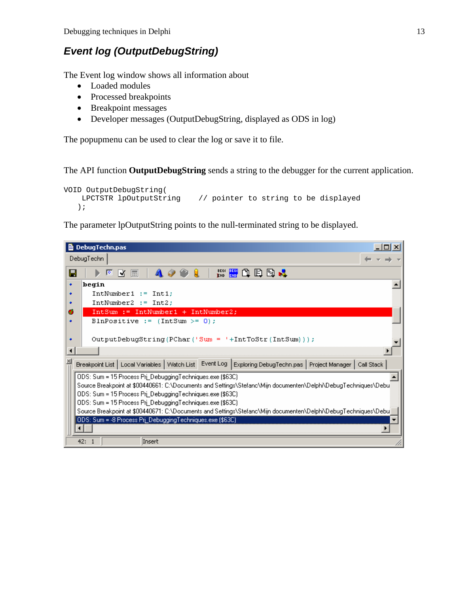## <span id="page-12-0"></span>*Event log (OutputDebugString)*

The Event log window shows all information about

- Loaded modules
- Processed breakpoints
- Breakpoint messages
- Developer messages (OutputDebugString, displayed as ODS in log)

The popupmenu can be used to clear the log or save it to file.

The API function **OutputDebugString** sends a string to the debugger for the current application.

```
VOID OutputDebugString( 
                           1/ pointer to string to be displayed
   );
```
The parameter lpOutputString points to the null-terminated string to be displayed.

| <b>■ DebugTechn.pas</b><br>– I⊡I ×I                                                                                                     |  |
|-----------------------------------------------------------------------------------------------------------------------------------------|--|
| DebugTechn                                                                                                                              |  |
| BEGI <mark>BEGI</mark><br>End end<br>o b g J<br>Н<br>E<br>D.<br>M                                                                       |  |
| hegin<br>٠                                                                                                                              |  |
| $IntNumber1 := Int1;$<br>٠                                                                                                              |  |
| $IntNumber2 := Int2$ ;<br>٠                                                                                                             |  |
| IntSum := IntNumber1 + IntNumber2;<br>ø                                                                                                 |  |
| BlnPositive := $(IntSum >= 0)$ ;<br>٠                                                                                                   |  |
|                                                                                                                                         |  |
| $OutputDebugString(PChar('Sum = '+IntToStr(IntSum)))$<br>٠                                                                              |  |
| ∢                                                                                                                                       |  |
| $\vert x \vert$<br>Breakpoint List   Local Variables   Watch List   Event Log   Exploring DebugTechn.pas   Project Manager   Call Stack |  |
| ODS: Sum = 15 Process Pri_DebuggingTechniques.exe (\$63C)                                                                               |  |
| Source Breakpoint at \$00440661: C:\Documents and Settings\Stefanc\Mijn documenten\Delphi\DebugTechniques\Debu'                         |  |
| ODS: Sum = 15 Process Pri_DebuggingTechniques.exe (\$63C)                                                                               |  |
| ODS: Sum = 15 Process Pri_DebuggingTechniques.exe (\$63C)                                                                               |  |
| Source Breakpoint at \$00440671: C:\Documents and Settings\Stefanc\Mijn documenten\Delphi\DebugTechniques\Debu                          |  |
| [ODS: Sum = -8 Process Pri_DebuggingTechniques.exe (\$63C)                                                                              |  |
|                                                                                                                                         |  |
| Insert<br>42:                                                                                                                           |  |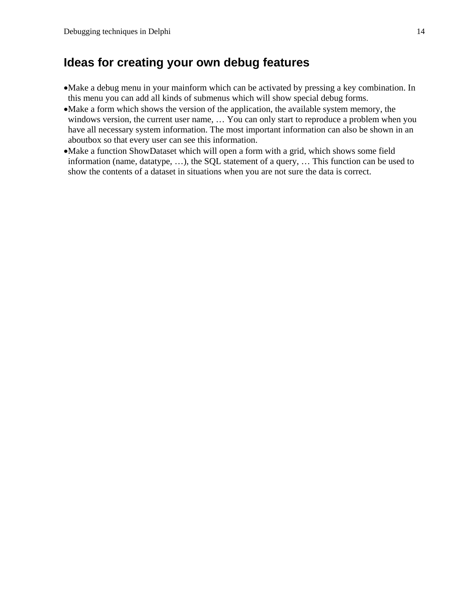# <span id="page-13-0"></span>**Ideas for creating your own debug features**

- •Make a debug menu in your mainform which can be activated by pressing a key combination. In this menu you can add all kinds of submenus which will show special debug forms.
- •Make a form which shows the version of the application, the available system memory, the windows version, the current user name, … You can only start to reproduce a problem when you have all necessary system information. The most important information can also be shown in an aboutbox so that every user can see this information.
- •Make a function ShowDataset which will open a form with a grid, which shows some field information (name, datatype, …), the SQL statement of a query, … This function can be used to show the contents of a dataset in situations when you are not sure the data is correct.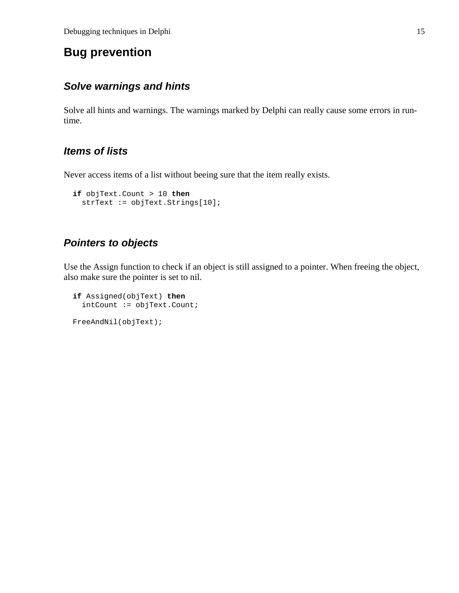# <span id="page-14-0"></span>**Bug prevention**

#### *Solve warnings and hints*

Solve all hints and warnings. The warnings marked by Delphi can really cause some errors in runtime.

## *Items of lists*

Never access items of a list without beeing sure that the item really exists.

```
 if objText.Count > 10 then
  strText := objText.Strings[10];
```
## *Pointers to objects*

Use the Assign function to check if an object is still assigned to a pointer. When freeing the object, also make sure the pointer is set to nil.

```
 if Assigned(objText) then
   intCount := objText.Count; 
 FreeAndNil(objText);
```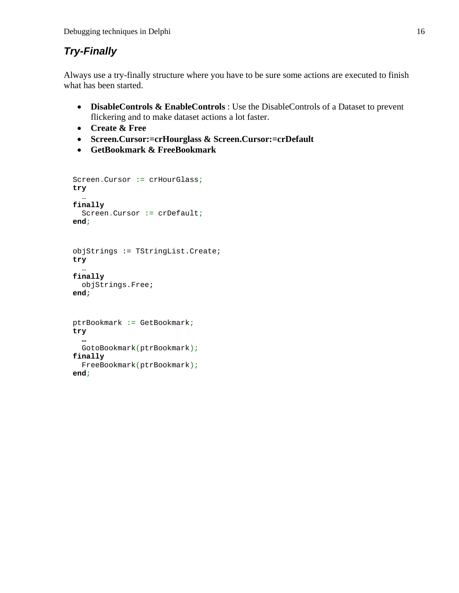# <span id="page-15-0"></span>*Try-Finally*

Always use a try-finally structure where you have to be sure some actions are executed to finish what has been started.

- **DisableControls & EnableControls** : Use the DisableControls of a Dataset to prevent flickering and to make dataset actions a lot faster.
- **Create & Free**
- **Screen.Cursor:=crHourglass & Screen.Cursor:=crDefault**
- **GetBookmark & FreeBookmark**

```
 Screen.Cursor := crHourGlass; 
  try 
 … 
  finally 
     Screen.Cursor := crDefault; 
  end; 
  objStrings := TStringList.Create; 
  try 
     … 
  finally 
     objStrings.Free; 
  end; 
  ptrBookmark := GetBookmark; 
  try 
 … 
     GotoBookmark(ptrBookmark); 
  finally 
     FreeBookmark(ptrBookmark); 
  end;
```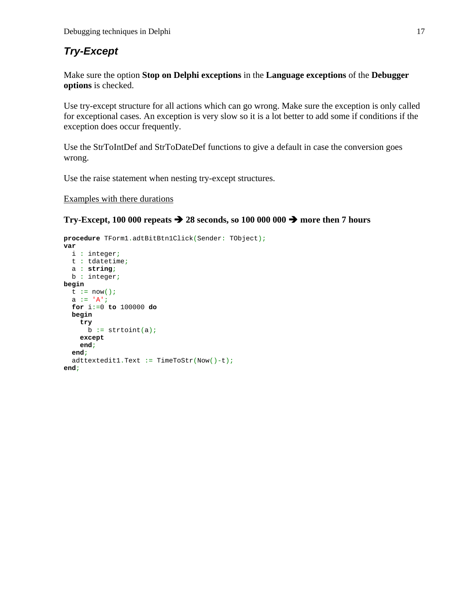# <span id="page-16-0"></span>*Try-Except*

Make sure the option **Stop on Delphi exceptions** in the **Language exceptions** of the **Debugger options** is checked.

Use try-except structure for all actions which can go wrong. Make sure the exception is only called for exceptional cases. An exception is very slow so it is a lot better to add some if conditions if the exception does occur frequently.

Use the StrToIntDef and StrToDateDef functions to give a default in case the conversion goes wrong.

Use the raise statement when nesting try-except structures.

Examples with there durations

#### **Try-Except, 100 000 repeats**  $\rightarrow$  **28 seconds, so 100 000 000**  $\rightarrow$  **more then 7 hours**

```
procedure TForm1.adtBitBtn1Click(Sender: TObject); 
var 
  i : integer; 
  t : tdatetime; 
  a : string; 
  b : integer; 
begin 
  t := now()a := 'A';
   for i:=0 to 100000 do 
  begin 
     try 
      b := strtoint(a);
     except 
     end; 
   end; 
 a
dttextedit1.Text := TimeToStr(Now()-t); end;
```